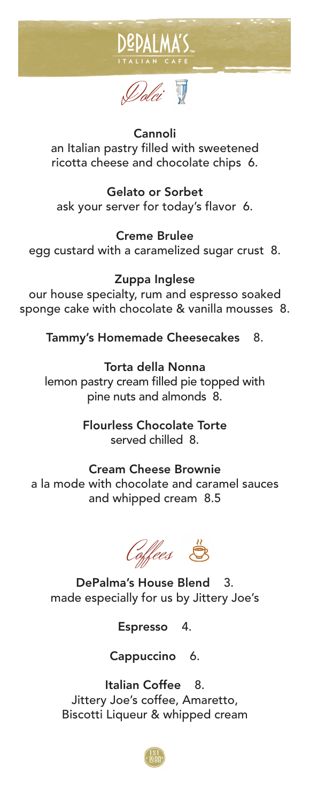



## Cannoli

an Italian pastry filled with sweetened ricotta cheese and chocolate chips 6.

Gelato or Sorbet ask your server for today's flavor 6.

Creme Brulee

egg custard with a caramelized sugar crust 8.

Zuppa Inglese our house specialty, rum and espresso soaked sponge cake with chocolate & vanilla mousses 8. ricotta cheese and chocolate chips 6.<br>Gelato or Sorbet<br>ask your server for today's flavor 6.<br>Creme Brulee<br>egg custard with a caramelized sugar crust 8.<br>Zuppa Inglese<br>our house specialty, rum and espresso soaked<br>sponge cake

Tammy's Homemade Cheesecakes 8.

lemon pastry cream filled pie topped with pine nuts and almonds 8. Torta della Nonna

> Flourless Chocolate Torte served chilled 8.

## Cream Cheese Brownie

a la mode with chocolate and caramel sauces and whipped cream 8.5



DePalma's House Blend 3. made especially for us by Jittery Joe's<br>Espresso 4.

Espresso 4.

Cappuccino 6.

Italian Coffee 8. Italian Coffee 8.<br>Jittery Joe's coffee, Amaretto, & whipped cream Biscotti Liqueur & whipped cream